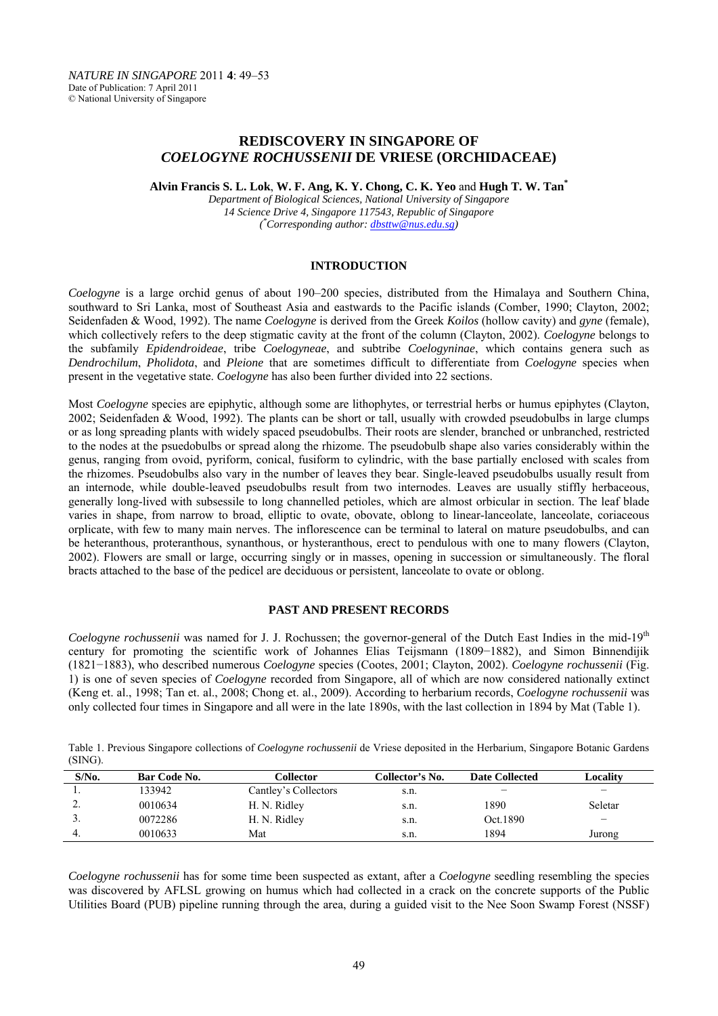# **REDISCOVERY IN SINGAPORE OF**  *COELOGYNE ROCHUSSENII* **DE VRIESE (ORCHIDACEAE)**

**Alvin Francis S. L. Lok**, **W. F. Ang, K. Y. Chong, C. K. Yeo** and **Hugh T. W. Tan\*** 

*Department of Biological Sciences, National University of Singapore 14 Science Drive 4, Singapore 117543, Republic of Singapore ( \* Corresponding author: dbsttw@nus.edu.sg)* 

## **INTRODUCTION**

*Coelogyne* is a large orchid genus of about 190–200 species, distributed from the Himalaya and Southern China, southward to Sri Lanka, most of Southeast Asia and eastwards to the Pacific islands (Comber, 1990; Clayton, 2002; Seidenfaden & Wood, 1992). The name *Coelogyne* is derived from the Greek *Koilos* (hollow cavity) and *gyne* (female), which collectively refers to the deep stigmatic cavity at the front of the column (Clayton, 2002). *Coelogyne* belongs to the subfamily *Epidendroideae*, tribe *Coelogyneae*, and subtribe *Coelogyninae*, which contains genera such as *Dendrochilum*, *Pholidota*, and *Pleione* that are sometimes difficult to differentiate from *Coelogyne* species when present in the vegetative state. *Coelogyne* has also been further divided into 22 sections.

Most *Coelogyne* species are epiphytic, although some are lithophytes, or terrestrial herbs or humus epiphytes (Clayton, 2002; Seidenfaden & Wood, 1992). The plants can be short or tall, usually with crowded pseudobulbs in large clumps or as long spreading plants with widely spaced pseudobulbs. Their roots are slender, branched or unbranched, restricted to the nodes at the psuedobulbs or spread along the rhizome. The pseudobulb shape also varies considerably within the genus, ranging from ovoid, pyriform, conical, fusiform to cylindric, with the base partially enclosed with scales from the rhizomes. Pseudobulbs also vary in the number of leaves they bear. Single-leaved pseudobulbs usually result from an internode, while double-leaved pseudobulbs result from two internodes. Leaves are usually stiffly herbaceous, generally long-lived with subsessile to long channelled petioles, which are almost orbicular in section. The leaf blade varies in shape, from narrow to broad, elliptic to ovate, obovate, oblong to linear-lanceolate, lanceolate, coriaceous orplicate, with few to many main nerves. The inflorescence can be terminal to lateral on mature pseudobulbs, and can be heteranthous, proteranthous, synanthous, or hysteranthous, erect to pendulous with one to many flowers (Clayton, 2002). Flowers are small or large, occurring singly or in masses, opening in succession or simultaneously. The floral bracts attached to the base of the pedicel are deciduous or persistent, lanceolate to ovate or oblong.

## **PAST AND PRESENT RECORDS**

*Coelogyne rochussenii* was named for J. J. Rochussen; the governor-general of the Dutch East Indies in the mid-19th century for promoting the scientific work of Johannes Elias Teijsmann (1809−1882), and Simon Binnendijik (1821−1883), who described numerous *Coelogyne* species (Cootes, 2001; Clayton, 2002). *Coelogyne rochussenii* (Fig. 1) is one of seven species of *Coelogyne* recorded from Singapore, all of which are now considered nationally extinct (Keng et. al., 1998; Tan et. al., 2008; Chong et. al., 2009). According to herbarium records, *Coelogyne rochussenii* was only collected four times in Singapore and all were in the late 1890s, with the last collection in 1894 by Mat (Table 1).

Table 1. Previous Singapore collections of *Coelogyne rochussenii* de Vriese deposited in the Herbarium, Singapore Botanic Gardens (SING).

| $S/N0$ . | Bar Code No. | Collector            | Collector's No. | <b>Date Collected</b> | Localitv |
|----------|--------------|----------------------|-----------------|-----------------------|----------|
|          | 133942       | Cantley's Collectors | s.n.            | -                     | -        |
| ٠.       | 0010634      | H. N. Ridley         | S.n.            | 1890                  | Seletar  |
| J .      | 0072286      | H. N. Ridley         | S.n.            | Oct.1890              | _        |
|          | 0010633      | Mat                  | s.n.            | 1894                  | Jurong   |

*Coelogyne rochussenii* has for some time been suspected as extant, after a *Coelogyne* seedling resembling the species was discovered by AFLSL growing on humus which had collected in a crack on the concrete supports of the Public Utilities Board (PUB) pipeline running through the area, during a guided visit to the Nee Soon Swamp Forest (NSSF)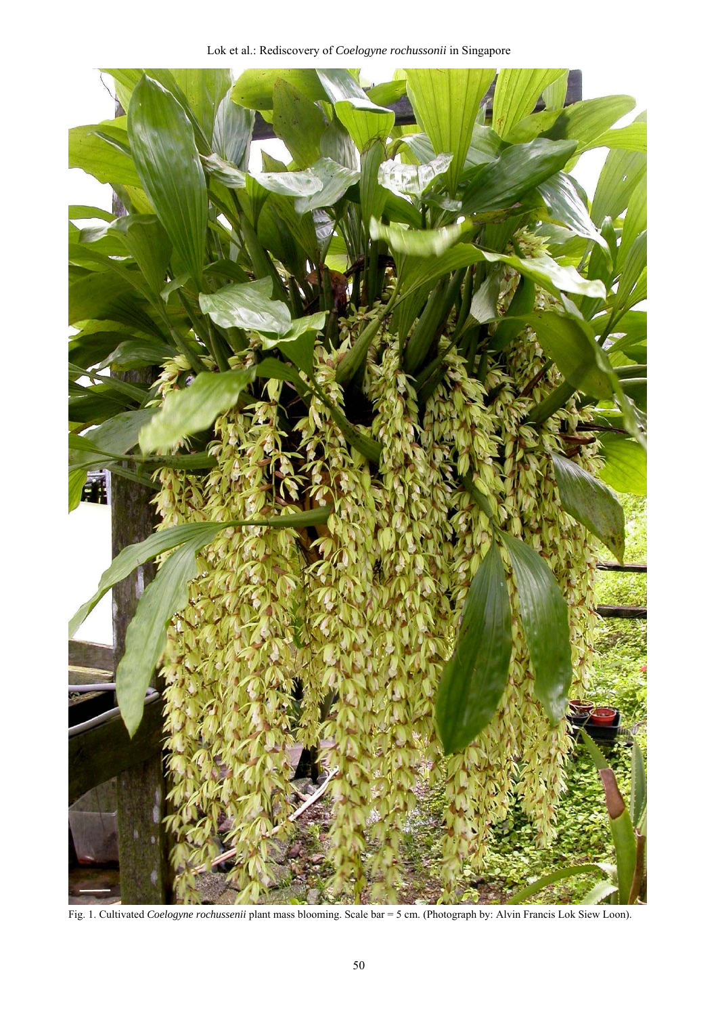

Fig. 1. Cultivated *Coelogyne rochussenii* plant mass blooming. Scale bar = 5 cm. (Photograph by: Alvin Francis Lok Siew Loon).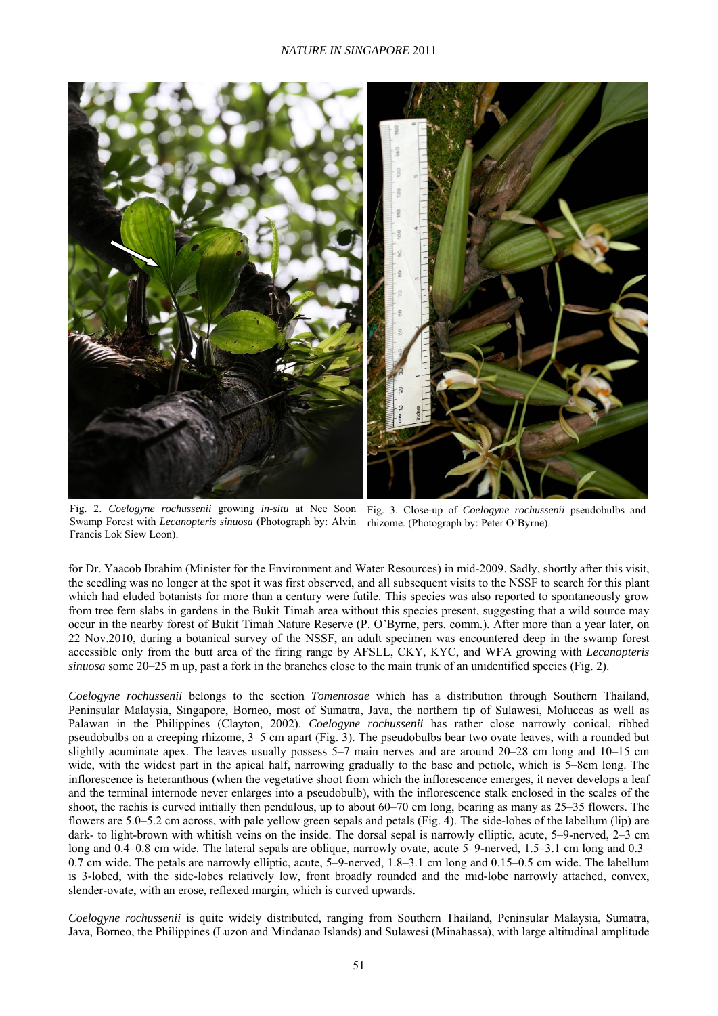

Fig. 2. *Coelogyne rochussenii* growing *in-situ* at Nee Soon Fig. 3. Close-up of *Coelogyne rochussenii* pseudobulbs and Swamp Forest with *Lecanopteris sinuosa* (Photograph by: Alvin rhizome. (Photograph by: Peter O'Byrne).Francis Lok Siew Loon).

for Dr. Yaacob Ibrahim (Minister for the Environment and Water Resources) in mid-2009. Sadly, shortly after this visit, the seedling was no longer at the spot it was first observed, and all subsequent visits to the NSSF to search for this plant which had eluded botanists for more than a century were futile. This species was also reported to spontaneously grow from tree fern slabs in gardens in the Bukit Timah area without this species present, suggesting that a wild source may occur in the nearby forest of Bukit Timah Nature Reserve (P. O'Byrne, pers. comm.). After more than a year later, on 22 Nov.2010, during a botanical survey of the NSSF, an adult specimen was encountered deep in the swamp forest accessible only from the butt area of the firing range by AFSLL, CKY, KYC, and WFA growing with *Lecanopteris sinuosa* some 20–25 m up, past a fork in the branches close to the main trunk of an unidentified species (Fig. 2).

*Coelogyne rochussenii* belongs to the section *Tomentosae* which has a distribution through Southern Thailand, Peninsular Malaysia, Singapore, Borneo, most of Sumatra, Java, the northern tip of Sulawesi, Moluccas as well as Palawan in the Philippines (Clayton, 2002). *Coelogyne rochussenii* has rather close narrowly conical, ribbed pseudobulbs on a creeping rhizome, 3–5 cm apart (Fig. 3). The pseudobulbs bear two ovate leaves, with a rounded but slightly acuminate apex. The leaves usually possess 5–7 main nerves and are around 20–28 cm long and 10–15 cm wide, with the widest part in the apical half, narrowing gradually to the base and petiole, which is 5–8cm long. The inflorescence is heteranthous (when the vegetative shoot from which the inflorescence emerges, it never develops a leaf and the terminal internode never enlarges into a pseudobulb), with the inflorescence stalk enclosed in the scales of the shoot, the rachis is curved initially then pendulous, up to about 60–70 cm long, bearing as many as 25–35 flowers. The flowers are 5.0–5.2 cm across, with pale yellow green sepals and petals (Fig. 4). The side-lobes of the labellum (lip) are dark- to light-brown with whitish veins on the inside. The dorsal sepal is narrowly elliptic, acute, 5–9-nerved, 2–3 cm long and 0.4–0.8 cm wide. The lateral sepals are oblique, narrowly ovate, acute 5–9-nerved, 1.5–3.1 cm long and 0.3– 0.7 cm wide. The petals are narrowly elliptic, acute, 5–9-nerved, 1.8–3.1 cm long and 0.15–0.5 cm wide. The labellum is 3-lobed, with the side-lobes relatively low, front broadly rounded and the mid-lobe narrowly attached, convex, slender-ovate, with an erose, reflexed margin, which is curved upwards.

*Coelogyne rochussenii* is quite widely distributed, ranging from Southern Thailand, Peninsular Malaysia, Sumatra, Java, Borneo, the Philippines (Luzon and Mindanao Islands) and Sulawesi (Minahassa), with large altitudinal amplitude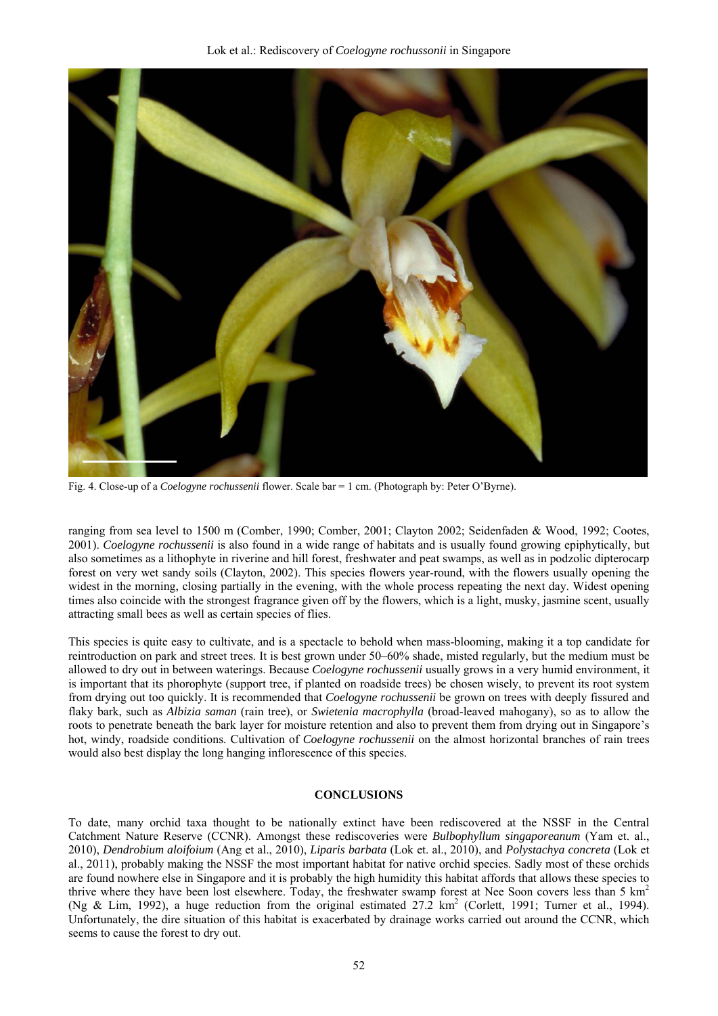

Fig. 4. Close-up of a *Coelogyne rochussenii* flower. Scale bar = 1 cm. (Photograph by: Peter O'Byrne).

ranging from sea level to 1500 m (Comber, 1990; Comber, 2001; Clayton 2002; Seidenfaden & Wood, 1992; Cootes, 2001). *Coelogyne rochussenii* is also found in a wide range of habitats and is usually found growing epiphytically, but also sometimes as a lithophyte in riverine and hill forest, freshwater and peat swamps, as well as in podzolic dipterocarp forest on very wet sandy soils (Clayton, 2002). This species flowers year-round, with the flowers usually opening the widest in the morning, closing partially in the evening, with the whole process repeating the next day. Widest opening times also coincide with the strongest fragrance given off by the flowers, which is a light, musky, jasmine scent, usually attracting small bees as well as certain species of flies.

This species is quite easy to cultivate, and is a spectacle to behold when mass-blooming, making it a top candidate for reintroduction on park and street trees. It is best grown under 50–60% shade, misted regularly, but the medium must be allowed to dry out in between waterings. Because *Coelogyne rochussenii* usually grows in a very humid environment, it is important that its phorophyte (support tree, if planted on roadside trees) be chosen wisely, to prevent its root system from drying out too quickly. It is recommended that *Coelogyne rochussenii* be grown on trees with deeply fissured and flaky bark, such as *Albizia saman* (rain tree), or *Swietenia macrophylla* (broad-leaved mahogany), so as to allow the roots to penetrate beneath the bark layer for moisture retention and also to prevent them from drying out in Singapore's hot, windy, roadside conditions. Cultivation of *Coelogyne rochussenii* on the almost horizontal branches of rain trees would also best display the long hanging inflorescence of this species.

### **CONCLUSIONS**

To date, many orchid taxa thought to be nationally extinct have been rediscovered at the NSSF in the Central Catchment Nature Reserve (CCNR). Amongst these rediscoveries were *Bulbophyllum singaporeanum* (Yam et. al., 2010), *Dendrobium aloifoium* (Ang et al., 2010), *Liparis barbata* (Lok et. al., 2010), and *Polystachya concreta* (Lok et al., 2011), probably making the NSSF the most important habitat for native orchid species. Sadly most of these orchids are found nowhere else in Singapore and it is probably the high humidity this habitat affords that allows these species to thrive where they have been lost elsewhere. Today, the freshwater swamp forest at Nee Soon covers less than 5  $km<sup>2</sup>$ (Ng & Lim, 1992), a huge reduction from the original estimated  $27.2 \text{ km}^2$  (Corlett, 1991; Turner et al., 1994). Unfortunately, the dire situation of this habitat is exacerbated by drainage works carried out around the CCNR, which seems to cause the forest to dry out.